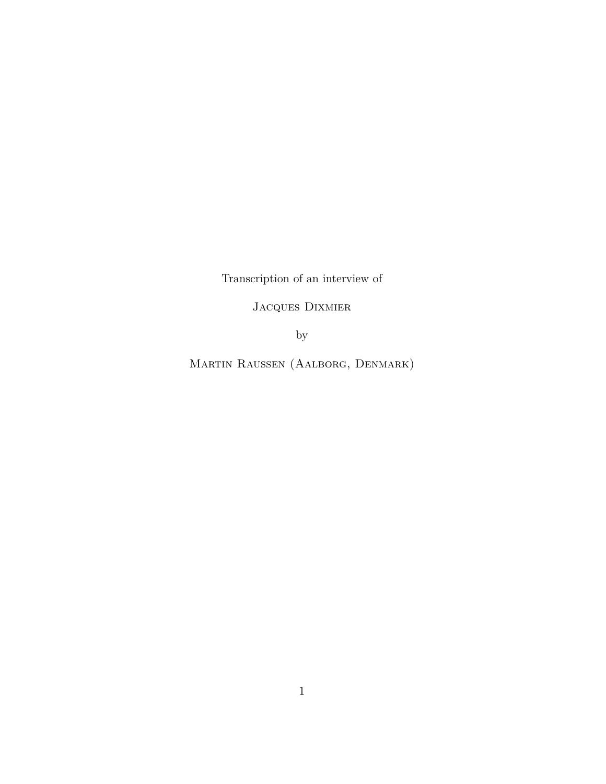<span id="page-0-0"></span>Transcription of an interview of

Jacques Dixmier

by

Martin Raussen (Aalborg, Denmark)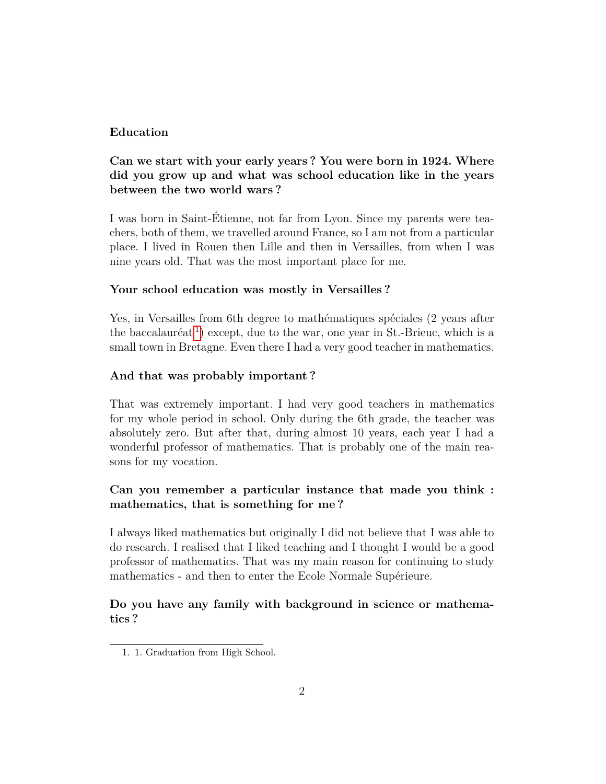# **Education**

# **Can we start with your early years ? You were born in 1924. Where did you grow up and what was school education like in the years between the two world wars ?**

I was born in Saint-Étienne, not far from Lyon. Since my parents were teachers, both of them, we travelled around France, so I am not from a particular place. I lived in Rouen then Lille and then in Versailles, from when I was nine years old. That was the most important place for me.

# **Your school education was mostly in Versailles ?**

Yes, in Versailles from 6th degree to mathématiques spéciales (2 years after the baccalauréat<sup>[1](#page-1-0)</sup>) except, due to the war, one year in St.-Brieuc, which is a small town in Bretagne. Even there I had a very good teacher in mathematics.

# **And that was probably important ?**

That was extremely important. I had very good teachers in mathematics for my whole period in school. Only during the 6th grade, the teacher was absolutely zero. But after that, during almost 10 years, each year I had a wonderful professor of mathematics. That is probably one of the main reasons for my vocation.

# **Can you remember a particular instance that made you think : mathematics, that is something for me ?**

I always liked mathematics but originally I did not believe that I was able to do research. I realised that I liked teaching and I thought I would be a good professor of mathematics. That was my main reason for continuing to study mathematics - and then to enter the Ecole Normale Supérieure.

# **Do you have any family with background in science or mathematics ?**

<span id="page-1-0"></span><sup>1. 1.</sup> Graduation from High School.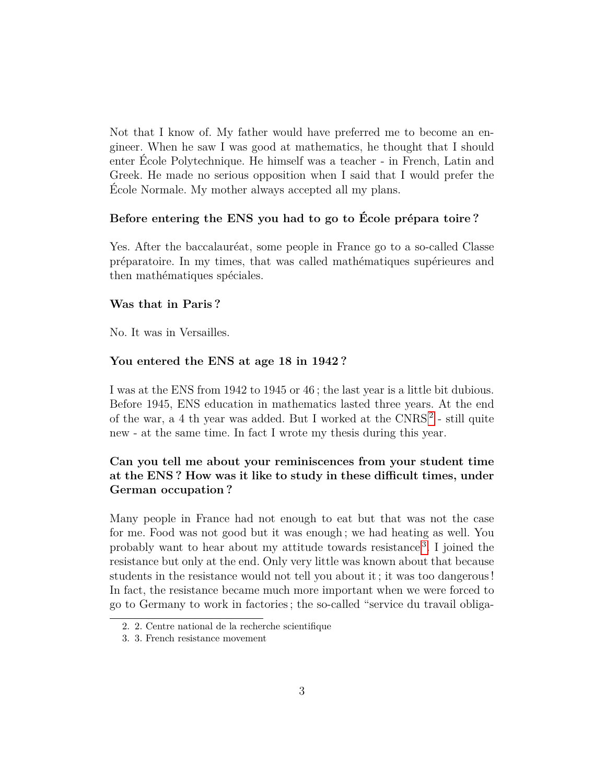Not that I know of. My father would have preferred me to become an engineer. When he saw I was good at mathematics, he thought that I should enter École Polytechnique. He himself was a teacher - in French, Latin and Greek. He made no serious opposition when I said that I would prefer the École Normale. My mother always accepted all my plans.

### **Before entering the ENS you had to go to École prépara toire ?**

Yes. After the baccalauréat, some people in France go to a so-called Classe préparatoire. In my times, that was called mathématiques supérieures and then mathématiques spéciales.

# **Was that in Paris ?**

No. It was in Versailles.

### **You entered the ENS at age 18 in 1942 ?**

I was at the ENS from 1942 to 1945 or 46 ; the last year is a little bit dubious. Before 1945, ENS education in mathematics lasted three years. At the end of the war, a 4 th year was added. But I worked at the CNRS<sup>[2](#page-2-0)</sup> - still quite new - at the same time. In fact I wrote my thesis during this year.

# **Can you tell me about your reminiscences from your student time at the ENS ? How was it like to study in these difficult times, under German occupation ?**

Many people in France had not enough to eat but that was not the case for me. Food was not good but it was enough ; we had heating as well. You probably want to hear about my attitude towards resistance [3](#page-2-1) . I joined the resistance but only at the end. Only very little was known about that because students in the resistance would not tell you about it ; it was too dangerous ! In fact, the resistance became much more important when we were forced to go to Germany to work in factories ; the so-called "service du travail obliga-

<span id="page-2-0"></span><sup>2. 2.</sup> Centre national de la recherche scientifique

<span id="page-2-1"></span><sup>3. 3.</sup> French resistance movement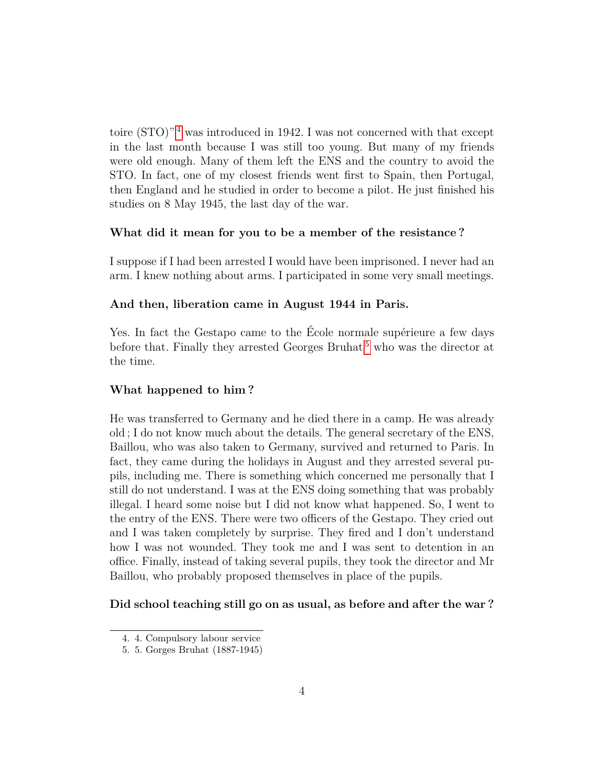toire  $(TO)^{n_4}$  $(TO)^{n_4}$  $(TO)^{n_4}$  was introduced in 1942. I was not concerned with that except in the last month because I was still too young. But many of my friends were old enough. Many of them left the ENS and the country to avoid the STO. In fact, one of my closest friends went first to Spain, then Portugal, then England and he studied in order to become a pilot. He just finished his studies on 8 May 1945, the last day of the war.

#### **What did it mean for you to be a member of the resistance ?**

I suppose if I had been arrested I would have been imprisoned. I never had an arm. I knew nothing about arms. I participated in some very small meetings.

### **And then, liberation came in August 1944 in Paris.**

Yes. In fact the Gestapo came to the École normale supérieure a few days before that. Finally they arrested Georges Bruhat<sup>[5](#page-3-1)</sup> who was the director at the time.

### **What happened to him ?**

He was transferred to Germany and he died there in a camp. He was already old ; I do not know much about the details. The general secretary of the ENS, Baillou, who was also taken to Germany, survived and returned to Paris. In fact, they came during the holidays in August and they arrested several pupils, including me. There is something which concerned me personally that I still do not understand. I was at the ENS doing something that was probably illegal. I heard some noise but I did not know what happened. So, I went to the entry of the ENS. There were two officers of the Gestapo. They cried out and I was taken completely by surprise. They fired and I don't understand how I was not wounded. They took me and I was sent to detention in an office. Finally, instead of taking several pupils, they took the director and Mr Baillou, who probably proposed themselves in place of the pupils.

**Did school teaching still go on as usual, as before and after the war ?**

<span id="page-3-0"></span><sup>4. 4.</sup> Compulsory labour service

<span id="page-3-1"></span><sup>5. 5.</sup> Gorges Bruhat (1887-1945)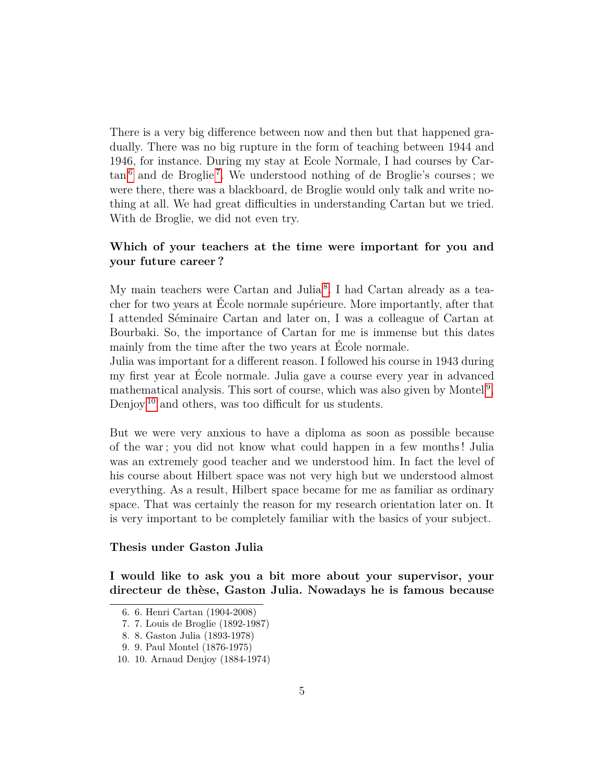There is a very big difference between now and then but that happened gradually. There was no big rupture in the form of teaching between 1944 and 1946, for instance. During my stay at Ecole Normale, I had courses by Car- $\tan^6$  $\tan^6$  and de Broglie<sup>[7](#page-4-1)</sup>. We understood nothing of de Broglie's courses; we were there, there was a blackboard, de Broglie would only talk and write nothing at all. We had great difficulties in understanding Cartan but we tried. With de Broglie, we did not even try.

# **Which of your teachers at the time were important for you and your future career ?**

My main teachers were Cartan and Julia<sup>[8](#page-4-2)</sup>. I had Cartan already as a teacher for two years at École normale supérieure. More importantly, after that I attended Séminaire Cartan and later on, I was a colleague of Cartan at Bourbaki. So, the importance of Cartan for me is immense but this dates mainly from the time after the two years at École normale.

Julia was important for a different reason. I followed his course in 1943 during my first year at École normale. Julia gave a course every year in advanced mathematical analysis. This sort of course, which was also given by Montel<sup>[9](#page-4-3)</sup>, Denjoy [10](#page-4-4) and others, was too difficult for us students.

But we were very anxious to have a diploma as soon as possible because of the war ; you did not know what could happen in a few months ! Julia was an extremely good teacher and we understood him. In fact the level of his course about Hilbert space was not very high but we understood almost everything. As a result, Hilbert space became for me as familiar as ordinary space. That was certainly the reason for my research orientation later on. It is very important to be completely familiar with the basics of your subject.

# **Thesis under Gaston Julia**

**I would like to ask you a bit more about your supervisor, your directeur de thèse, Gaston Julia. Nowadays he is famous because**

<span id="page-4-0"></span><sup>6. 6.</sup> Henri Cartan (1904-2008)

<span id="page-4-1"></span><sup>7. 7.</sup> Louis de Broglie (1892-1987)

<span id="page-4-2"></span><sup>8. 8.</sup> Gaston Julia (1893-1978)

<span id="page-4-4"></span><span id="page-4-3"></span><sup>9. 9.</sup> Paul Montel (1876-1975)

<sup>10. 10.</sup> Arnaud Denjoy (1884-1974)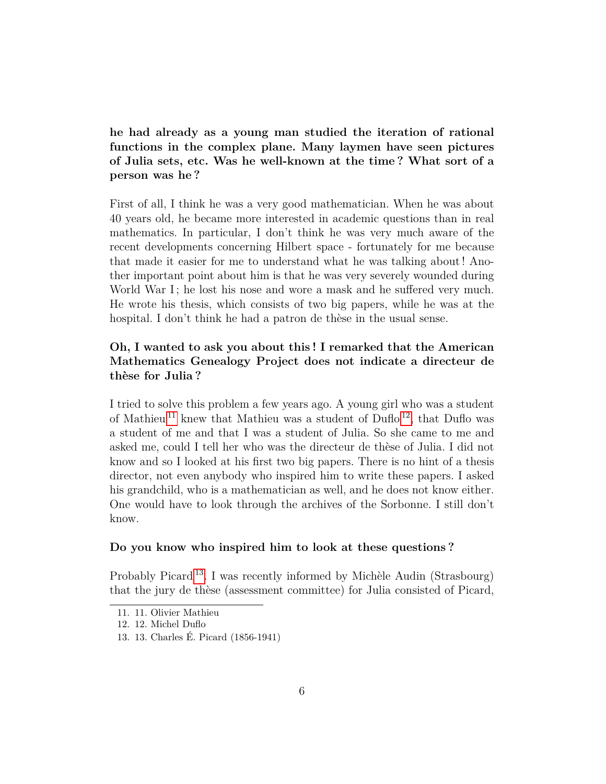**he had already as a young man studied the iteration of rational functions in the complex plane. Many laymen have seen pictures of Julia sets, etc. Was he well-known at the time ? What sort of a person was he ?**

First of all, I think he was a very good mathematician. When he was about 40 years old, he became more interested in academic questions than in real mathematics. In particular, I don't think he was very much aware of the recent developments concerning Hilbert space - fortunately for me because that made it easier for me to understand what he was talking about ! Another important point about him is that he was very severely wounded during World War I; he lost his nose and wore a mask and he suffered very much. He wrote his thesis, which consists of two big papers, while he was at the hospital. I don't think he had a patron de thèse in the usual sense.

# **Oh, I wanted to ask you about this ! I remarked that the American Mathematics Genealogy Project does not indicate a directeur de thèse for Julia ?**

I tried to solve this problem a few years ago. A young girl who was a student of Mathieu <sup>[11](#page-5-0)</sup> knew that Mathieu was a student of Duflo <sup>[12](#page-5-1)</sup>, that Duflo was a student of me and that I was a student of Julia. So she came to me and asked me, could I tell her who was the directeur de thèse of Julia. I did not know and so I looked at his first two big papers. There is no hint of a thesis director, not even anybody who inspired him to write these papers. I asked his grandchild, who is a mathematician as well, and he does not know either. One would have to look through the archives of the Sorbonne. I still don't know.

### **Do you know who inspired him to look at these questions ?**

Probably Picard [13](#page-5-2). I was recently informed by Michèle Audin (Strasbourg) that the jury de thèse (assessment committee) for Julia consisted of Picard,

<span id="page-5-0"></span><sup>11. 11.</sup> Olivier Mathieu

<span id="page-5-1"></span><sup>12. 12.</sup> Michel Duflo

<span id="page-5-2"></span><sup>13. 13.</sup> Charles É. Picard (1856-1941)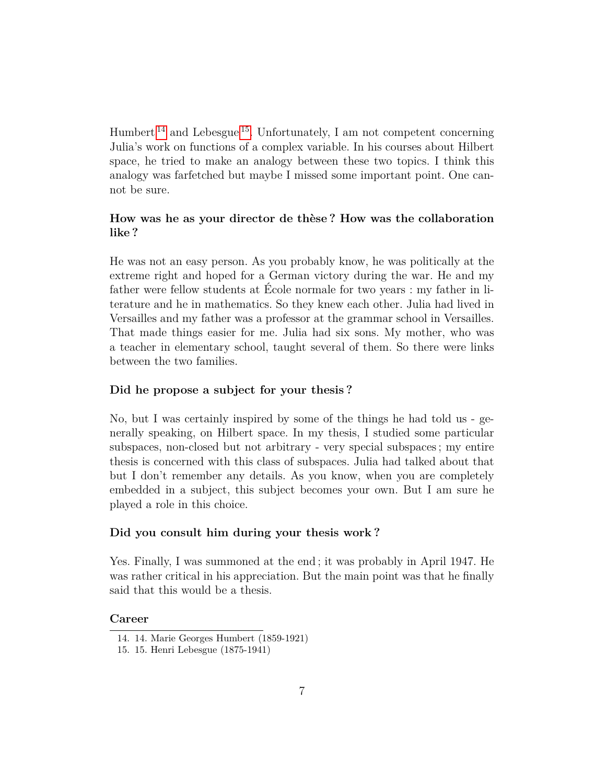Humbert<sup>[14](#page-6-0)</sup> and Lebesgue<sup>[15](#page-6-1)</sup>. Unfortunately, I am not competent concerning Julia's work on functions of a complex variable. In his courses about Hilbert space, he tried to make an analogy between these two topics. I think this analogy was farfetched but maybe I missed some important point. One cannot be sure.

# **How was he as your director de thèse ? How was the collaboration like ?**

He was not an easy person. As you probably know, he was politically at the extreme right and hoped for a German victory during the war. He and my father were fellow students at École normale for two years : my father in literature and he in mathematics. So they knew each other. Julia had lived in Versailles and my father was a professor at the grammar school in Versailles. That made things easier for me. Julia had six sons. My mother, who was a teacher in elementary school, taught several of them. So there were links between the two families.

#### **Did he propose a subject for your thesis ?**

No, but I was certainly inspired by some of the things he had told us - generally speaking, on Hilbert space. In my thesis, I studied some particular subspaces, non-closed but not arbitrary - very special subspaces ; my entire thesis is concerned with this class of subspaces. Julia had talked about that but I don't remember any details. As you know, when you are completely embedded in a subject, this subject becomes your own. But I am sure he played a role in this choice.

### **Did you consult him during your thesis work ?**

Yes. Finally, I was summoned at the end ; it was probably in April 1947. He was rather critical in his appreciation. But the main point was that he finally said that this would be a thesis.

#### **Career**

<span id="page-6-1"></span><span id="page-6-0"></span><sup>14. 14.</sup> Marie Georges Humbert (1859-1921)

<sup>15. 15.</sup> Henri Lebesgue (1875-1941)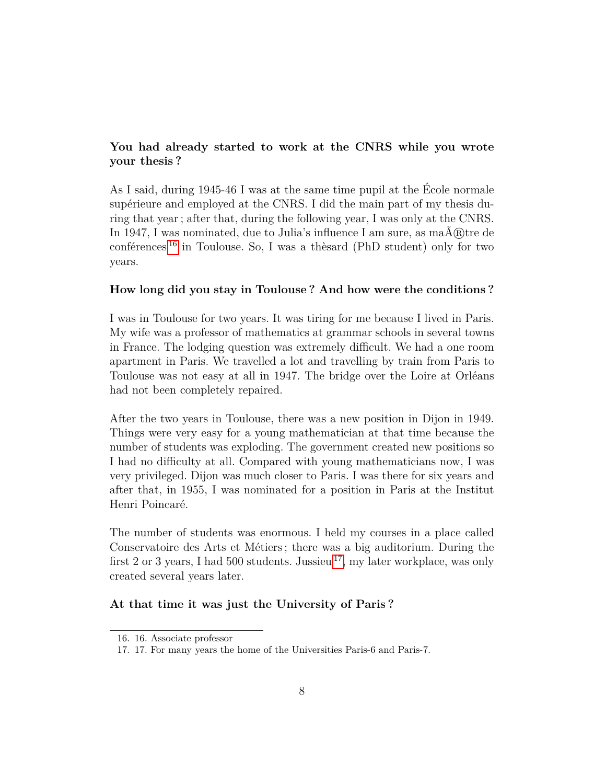# **You had already started to work at the CNRS while you wrote your thesis ?**

As I said, during 1945-46 I was at the same time pupil at the École normale supérieure and employed at the CNRS. I did the main part of my thesis during that year ; after that, during the following year, I was only at the CNRS. In 1947, I was nominated, due to Julia's influence I am sure, as  $ma\tilde{A}$  (R) tre de conférences  $^{16}$  $^{16}$  $^{16}$  in Toulouse. So, I was a thèsard (PhD student) only for two years.

### **How long did you stay in Toulouse ? And how were the conditions ?**

I was in Toulouse for two years. It was tiring for me because I lived in Paris. My wife was a professor of mathematics at grammar schools in several towns in France. The lodging question was extremely difficult. We had a one room apartment in Paris. We travelled a lot and travelling by train from Paris to Toulouse was not easy at all in 1947. The bridge over the Loire at Orléans had not been completely repaired.

After the two years in Toulouse, there was a new position in Dijon in 1949. Things were very easy for a young mathematician at that time because the number of students was exploding. The government created new positions so I had no difficulty at all. Compared with young mathematicians now, I was very privileged. Dijon was much closer to Paris. I was there for six years and after that, in 1955, I was nominated for a position in Paris at the Institut Henri Poincaré.

The number of students was enormous. I held my courses in a place called Conservatoire des Arts et Métiers ; there was a big auditorium. During the first 2 or 3 years, I had 500 students. Jussieu  $^{17}$  $^{17}$  $^{17}$ , my later workplace, was only created several years later.

### **At that time it was just the University of Paris ?**

<span id="page-7-1"></span><span id="page-7-0"></span><sup>16. 16.</sup> Associate professor

<sup>17. 17.</sup> For many years the home of the Universities Paris-6 and Paris-7.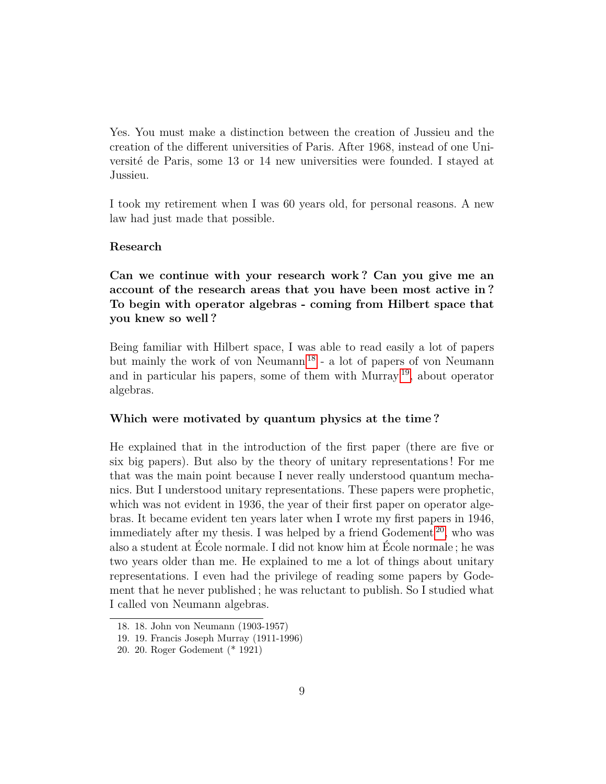Yes. You must make a distinction between the creation of Jussieu and the creation of the different universities of Paris. After 1968, instead of one Université de Paris, some 13 or 14 new universities were founded. I stayed at Jussieu.

I took my retirement when I was 60 years old, for personal reasons. A new law had just made that possible.

#### **Research**

**Can we continue with your research work ? Can you give me an account of the research areas that you have been most active in ? To begin with operator algebras - coming from Hilbert space that you knew so well ?**

Being familiar with Hilbert space, I was able to read easily a lot of papers but mainly the work of von Neumann [18](#page-8-0) - a lot of papers of von Neumann and in particular his papers, some of them with Murray [19](#page-8-1), about operator algebras.

## **Which were motivated by quantum physics at the time ?**

He explained that in the introduction of the first paper (there are five or six big papers). But also by the theory of unitary representations ! For me that was the main point because I never really understood quantum mechanics. But I understood unitary representations. These papers were prophetic, which was not evident in 1936, the year of their first paper on operator algebras. It became evident ten years later when I wrote my first papers in 1946, immediately after my thesis. I was helped by a friend Godement  $20$ , who was also a student at École normale. I did not know him at École normale ; he was two years older than me. He explained to me a lot of things about unitary representations. I even had the privilege of reading some papers by Godement that he never published ; he was reluctant to publish. So I studied what I called von Neumann algebras.

<span id="page-8-0"></span><sup>18. 18.</sup> John von Neumann (1903-1957)

<span id="page-8-2"></span><span id="page-8-1"></span><sup>19. 19.</sup> Francis Joseph Murray (1911-1996)

<sup>20. 20.</sup> Roger Godement (\* 1921)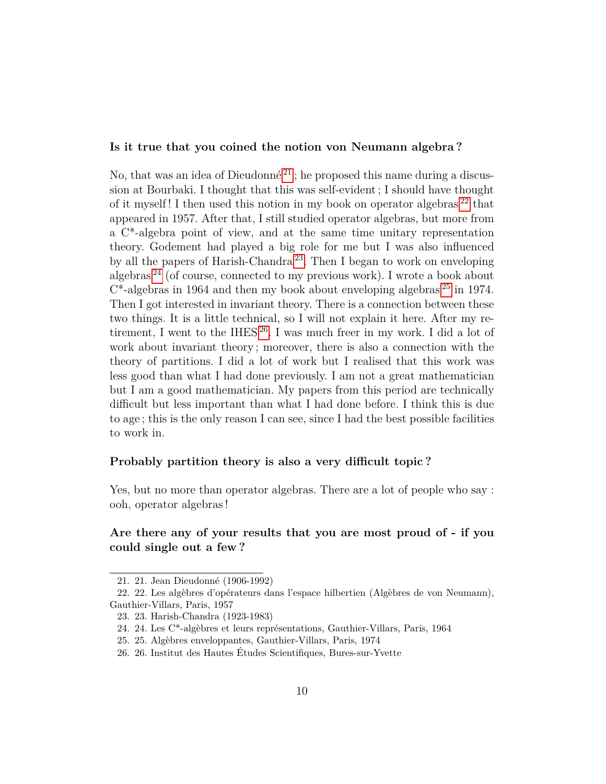### **Is it true that you coined the notion von Neumann algebra ?**

No, that was an idea of Dieudonné<sup>[21](#page-9-0)</sup>; he proposed this name during a discussion at Bourbaki. I thought that this was self-evident ; I should have thought of it myself! I then used this notion in my book on operator algebras  $^{22}$  $^{22}$  $^{22}$  that appeared in 1957. After that, I still studied operator algebras, but more from a C\*-algebra point of view, and at the same time unitary representation theory. Godement had played a big role for me but I was also influenced by all the papers of Harish-Chandra [23](#page-9-2). Then I began to work on enveloping algebras [24](#page-9-3) (of course, connected to my previous work). I wrote a book about  $C^*$ -algebras in 1964 and then my book about enveloping algebras  $^{25}$  $^{25}$  $^{25}$  in 1974. Then I got interested in invariant theory. There is a connection between these two things. It is a little technical, so I will not explain it here. After my retirement, I went to the IHES  $26$ . I was much freer in my work. I did a lot of work about invariant theory ; moreover, there is also a connection with the theory of partitions. I did a lot of work but I realised that this work was less good than what I had done previously. I am not a great mathematician but I am a good mathematician. My papers from this period are technically difficult but less important than what I had done before. I think this is due to age ; this is the only reason I can see, since I had the best possible facilities to work in.

### **Probably partition theory is also a very difficult topic ?**

Yes, but no more than operator algebras. There are a lot of people who say : ooh, operator algebras !

## **Are there any of your results that you are most proud of - if you could single out a few ?**

<span id="page-9-1"></span><span id="page-9-0"></span><sup>21. 21.</sup> Jean Dieudonné (1906-1992)

<sup>22. 22.</sup> Les algèbres d'opérateurs dans l'espace hilbertien (Algèbres de von Neumann), Gauthier-Villars, Paris, 1957

<span id="page-9-2"></span><sup>23. 23.</sup> Harish-Chandra (1923-1983)

<span id="page-9-3"></span><sup>24. 24.</sup> Les C\*-algèbres et leurs représentations, Gauthier-Villars, Paris, 1964

<span id="page-9-4"></span><sup>25. 25.</sup> Algèbres enveloppantes, Gauthier-Villars, Paris, 1974

<span id="page-9-5"></span><sup>26. 26.</sup> Institut des Hautes Études Scientifiques, Bures-sur-Yvette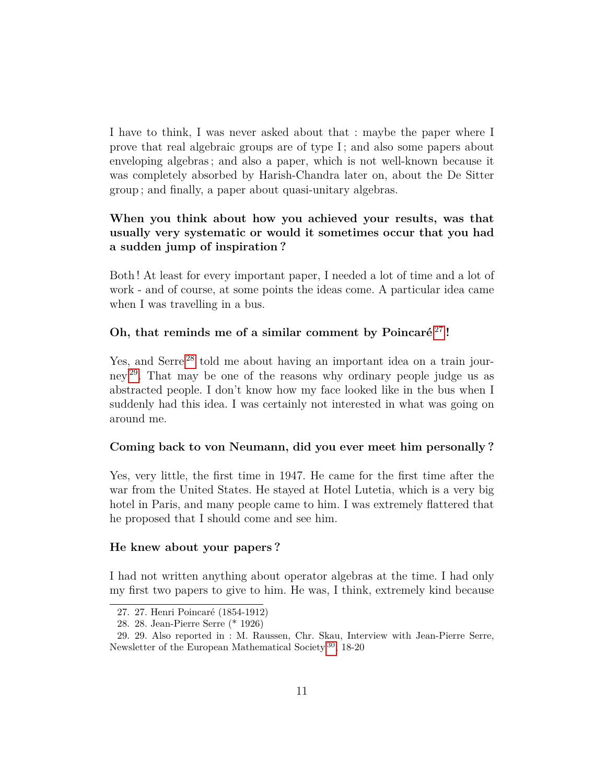I have to think, I was never asked about that : maybe the paper where I prove that real algebraic groups are of type I ; and also some papers about enveloping algebras ; and also a paper, which is not well-known because it was completely absorbed by Harish-Chandra later on, about the De Sitter group ; and finally, a paper about quasi-unitary algebras.

# **When you think about how you achieved your results, was that usually very systematic or would it sometimes occur that you had a sudden jump of inspiration ?**

Both ! At least for every important paper, I needed a lot of time and a lot of work - and of course, at some points the ideas come. A particular idea came when I was travelling in a bus.

### **Oh, that reminds me of a similar comment by Poincaré** [27](#page-10-0) **!**

Yes, and Serre<sup>[28](#page-10-1)</sup> told me about having an important idea on a train journey [29](#page-10-2). That may be one of the reasons why ordinary people judge us as abstracted people. I don't know how my face looked like in the bus when I suddenly had this idea. I was certainly not interested in what was going on around me.

### **Coming back to von Neumann, did you ever meet him personally ?**

Yes, very little, the first time in 1947. He came for the first time after the war from the United States. He stayed at Hotel Lutetia, which is a very big hotel in Paris, and many people came to him. I was extremely flattered that he proposed that I should come and see him.

#### **He knew about your papers ?**

I had not written anything about operator algebras at the time. I had only my first two papers to give to him. He was, I think, extremely kind because

<span id="page-10-0"></span><sup>27. 27.</sup> Henri Poincaré (1854-1912)

<span id="page-10-2"></span><span id="page-10-1"></span><sup>28. 28.</sup> Jean-Pierre Serre (\* 1926)

<sup>29. 29.</sup> Also reported in : M. Raussen, Chr. Skau, Interview with Jean-Pierre Serre, Newsletter of the European Mathematical Society  $\rm{^{30},~18\text{-}20}$  $\rm{^{30},~18\text{-}20}$  $\rm{^{30},~18\text{-}20}$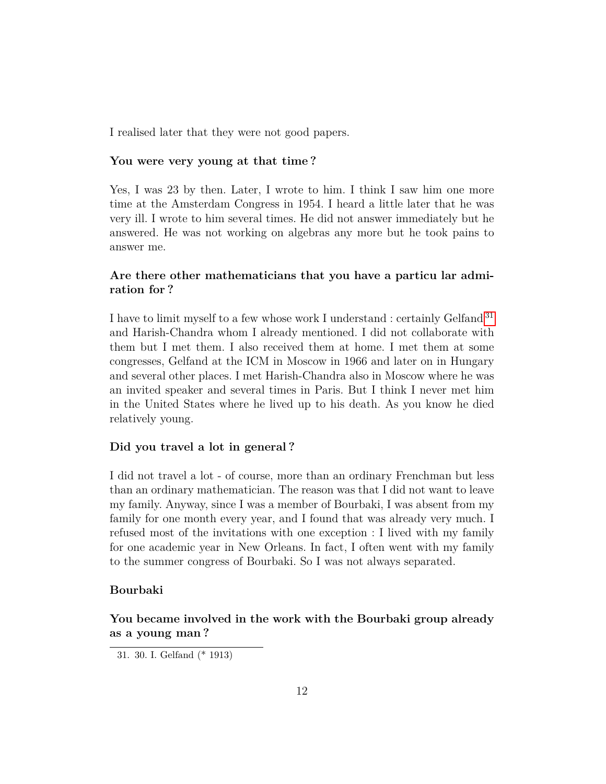I realised later that they were not good papers.

### **You were very young at that time ?**

Yes, I was 23 by then. Later, I wrote to him. I think I saw him one more time at the Amsterdam Congress in 1954. I heard a little later that he was very ill. I wrote to him several times. He did not answer immediately but he answered. He was not working on algebras any more but he took pains to answer me.

# **Are there other mathematicians that you have a particu lar admiration for ?**

I have to limit myself to a few whose work I understand : certainly Gelfand [31](#page-11-0) and Harish-Chandra whom I already mentioned. I did not collaborate with them but I met them. I also received them at home. I met them at some congresses, Gelfand at the ICM in Moscow in 1966 and later on in Hungary and several other places. I met Harish-Chandra also in Moscow where he was an invited speaker and several times in Paris. But I think I never met him in the United States where he lived up to his death. As you know he died relatively young.

### **Did you travel a lot in general ?**

I did not travel a lot - of course, more than an ordinary Frenchman but less than an ordinary mathematician. The reason was that I did not want to leave my family. Anyway, since I was a member of Bourbaki, I was absent from my family for one month every year, and I found that was already very much. I refused most of the invitations with one exception : I lived with my family for one academic year in New Orleans. In fact, I often went with my family to the summer congress of Bourbaki. So I was not always separated.

### **Bourbaki**

# **You became involved in the work with the Bourbaki group already as a young man ?**

<span id="page-11-0"></span><sup>31. 30.</sup> I. Gelfand (\* 1913)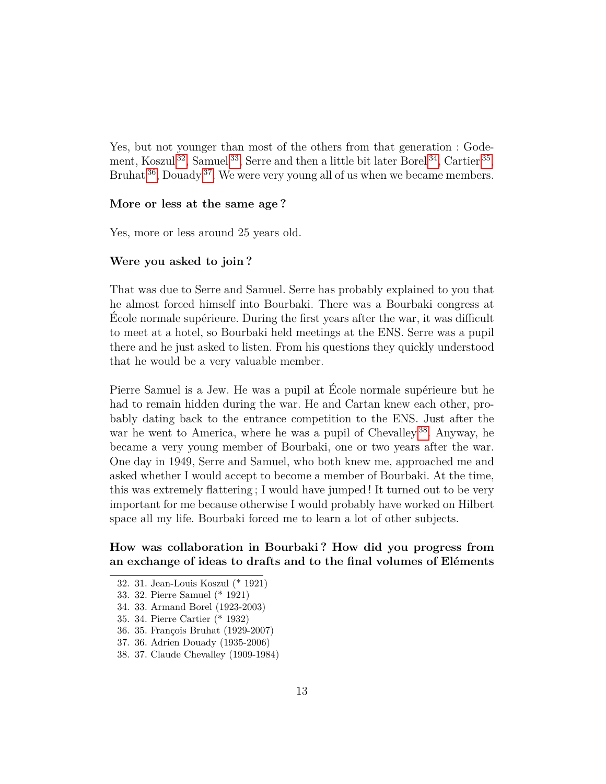Yes, but not younger than most of the others from that generation : Gode-ment, Koszul<sup>[32](#page-12-0)</sup>, Samuel<sup>[33](#page-12-1)</sup>, Serre and then a little bit later Borel<sup>[34](#page-12-2)</sup>, Cartier<sup>[35](#page-12-3)</sup>, Bruhat  $36$ , Douady  $37$ . We were very young all of us when we became members.

#### **More or less at the same age ?**

Yes, more or less around 25 years old.

#### **Were you asked to join ?**

That was due to Serre and Samuel. Serre has probably explained to you that he almost forced himself into Bourbaki. There was a Bourbaki congress at École normale supérieure. During the first years after the war, it was difficult to meet at a hotel, so Bourbaki held meetings at the ENS. Serre was a pupil there and he just asked to listen. From his questions they quickly understood that he would be a very valuable member.

Pierre Samuel is a Jew. He was a pupil at École normale supérieure but he had to remain hidden during the war. He and Cartan knew each other, probably dating back to the entrance competition to the ENS. Just after the war he went to America, where he was a pupil of Chevalley<sup>[38](#page-12-6)</sup>. Anyway, he became a very young member of Bourbaki, one or two years after the war. One day in 1949, Serre and Samuel, who both knew me, approached me and asked whether I would accept to become a member of Bourbaki. At the time, this was extremely flattering ; I would have jumped ! It turned out to be very important for me because otherwise I would probably have worked on Hilbert space all my life. Bourbaki forced me to learn a lot of other subjects.

# **How was collaboration in Bourbaki ? How did you progress from an exchange of ideas to drafts and to the final volumes of Eléments**

- <span id="page-12-2"></span>34. 33. Armand Borel (1923-2003)
- <span id="page-12-3"></span>35. 34. Pierre Cartier (\* 1932)
- <span id="page-12-4"></span>36. 35. François Bruhat (1929-2007)
- <span id="page-12-5"></span>37. 36. Adrien Douady (1935-2006)
- <span id="page-12-6"></span>38. 37. Claude Chevalley (1909-1984)

<span id="page-12-0"></span><sup>32. 31.</sup> Jean-Louis Koszul (\* 1921)

<span id="page-12-1"></span><sup>33. 32.</sup> Pierre Samuel (\* 1921)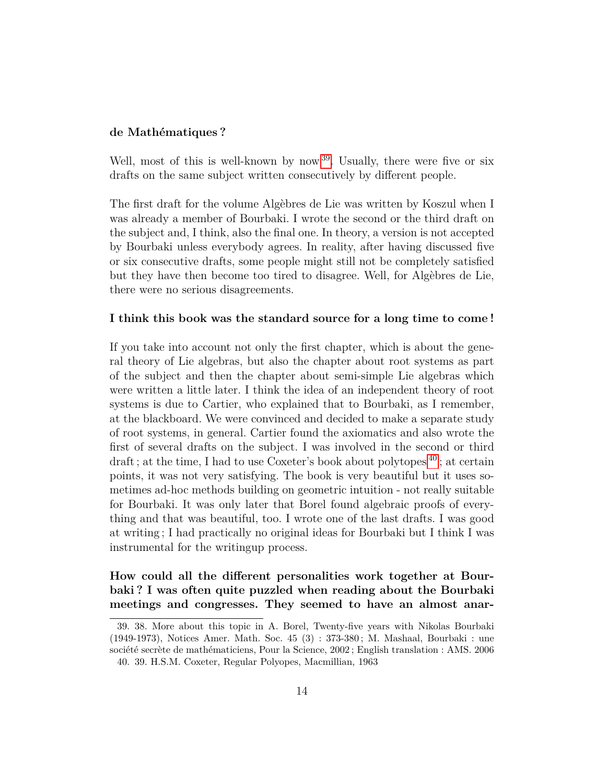#### **de Mathématiques ?**

Well, most of this is well-known by now <sup>[39](#page-13-0)</sup>. Usually, there were five or six drafts on the same subject written consecutively by different people.

The first draft for the volume Algèbres de Lie was written by Koszul when I was already a member of Bourbaki. I wrote the second or the third draft on the subject and, I think, also the final one. In theory, a version is not accepted by Bourbaki unless everybody agrees. In reality, after having discussed five or six consecutive drafts, some people might still not be completely satisfied but they have then become too tired to disagree. Well, for Algèbres de Lie, there were no serious disagreements.

#### **I think this book was the standard source for a long time to come !**

If you take into account not only the first chapter, which is about the general theory of Lie algebras, but also the chapter about root systems as part of the subject and then the chapter about semi-simple Lie algebras which were written a little later. I think the idea of an independent theory of root systems is due to Cartier, who explained that to Bourbaki, as I remember, at the blackboard. We were convinced and decided to make a separate study of root systems, in general. Cartier found the axiomatics and also wrote the first of several drafts on the subject. I was involved in the second or third draft; at the time, I had to use Coxeter's book about polytopes  $^{40}$  $^{40}$  $^{40}$ ; at certain points, it was not very satisfying. The book is very beautiful but it uses sometimes ad-hoc methods building on geometric intuition - not really suitable for Bourbaki. It was only later that Borel found algebraic proofs of everything and that was beautiful, too. I wrote one of the last drafts. I was good at writing ; I had practically no original ideas for Bourbaki but I think I was instrumental for the writingup process.

**How could all the different personalities work together at Bourbaki ? I was often quite puzzled when reading about the Bourbaki meetings and congresses. They seemed to have an almost anar-**

<span id="page-13-1"></span><span id="page-13-0"></span><sup>39. 38.</sup> More about this topic in A. Borel, Twenty-five years with Nikolas Bourbaki (1949-1973), Notices Amer. Math. Soc. 45 (3) : 373-380 ; M. Mashaal, Bourbaki : une société secrète de mathématiciens, Pour la Science, 2002 ; English translation : AMS. 2006 40. 39. H.S.M. Coxeter, Regular Polyopes, Macmillian, 1963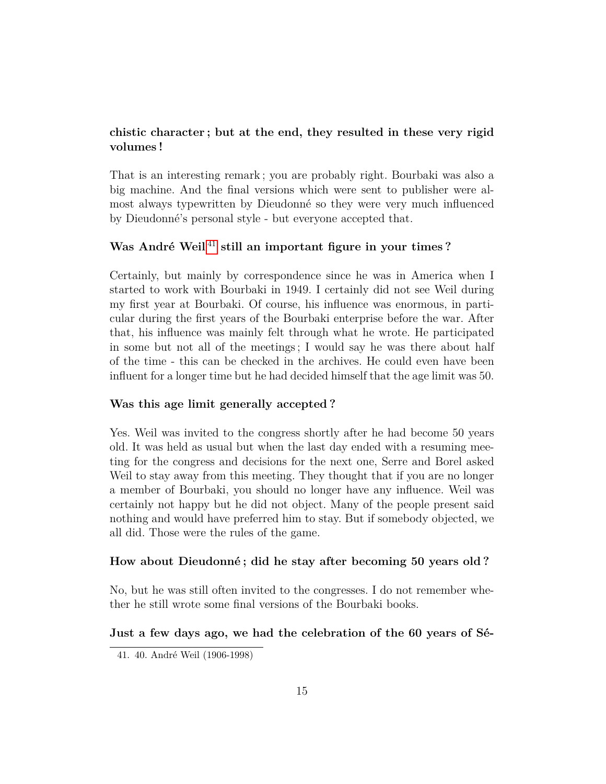# **chistic character ; but at the end, they resulted in these very rigid volumes !**

That is an interesting remark ; you are probably right. Bourbaki was also a big machine. And the final versions which were sent to publisher were almost always typewritten by Dieudonné so they were very much influenced by Dieudonné's personal style - but everyone accepted that.

# **Was André Weil** [41](#page-14-0) **still an important figure in your times ?**

Certainly, but mainly by correspondence since he was in America when I started to work with Bourbaki in 1949. I certainly did not see Weil during my first year at Bourbaki. Of course, his influence was enormous, in particular during the first years of the Bourbaki enterprise before the war. After that, his influence was mainly felt through what he wrote. He participated in some but not all of the meetings ; I would say he was there about half of the time - this can be checked in the archives. He could even have been influent for a longer time but he had decided himself that the age limit was 50.

### **Was this age limit generally accepted ?**

Yes. Weil was invited to the congress shortly after he had become 50 years old. It was held as usual but when the last day ended with a resuming meeting for the congress and decisions for the next one, Serre and Borel asked Weil to stay away from this meeting. They thought that if you are no longer a member of Bourbaki, you should no longer have any influence. Weil was certainly not happy but he did not object. Many of the people present said nothing and would have preferred him to stay. But if somebody objected, we all did. Those were the rules of the game.

#### **How about Dieudonné ; did he stay after becoming 50 years old ?**

No, but he was still often invited to the congresses. I do not remember whether he still wrote some final versions of the Bourbaki books.

#### **Just a few days ago, we had the celebration of the 60 years of Sé-**

<span id="page-14-0"></span><sup>41. 40.</sup> André Weil (1906-1998)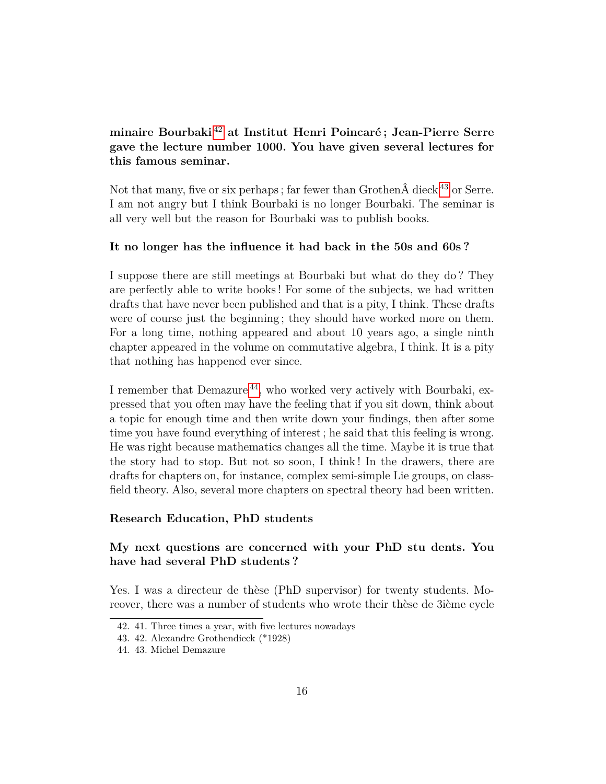# **minaire Bourbaki** [42](#page-15-0) **at Institut Henri Poincaré ; Jean-Pierre Serre gave the lecture number 1000. You have given several lectures for this famous seminar.**

Not that many, five or six perhaps; far fewer than Grothen  $\hat{A}$  dieck  $^{43}$  $^{43}$  $^{43}$  or Serre. I am not angry but I think Bourbaki is no longer Bourbaki. The seminar is all very well but the reason for Bourbaki was to publish books.

### **It no longer has the influence it had back in the 50s and 60s ?**

I suppose there are still meetings at Bourbaki but what do they do ? They are perfectly able to write books ! For some of the subjects, we had written drafts that have never been published and that is a pity, I think. These drafts were of course just the beginning ; they should have worked more on them. For a long time, nothing appeared and about 10 years ago, a single ninth chapter appeared in the volume on commutative algebra, I think. It is a pity that nothing has happened ever since.

I remember that Demazure [44](#page-15-2), who worked very actively with Bourbaki, expressed that you often may have the feeling that if you sit down, think about a topic for enough time and then write down your findings, then after some time you have found everything of interest ; he said that this feeling is wrong. He was right because mathematics changes all the time. Maybe it is true that the story had to stop. But not so soon, I think ! In the drawers, there are drafts for chapters on, for instance, complex semi-simple Lie groups, on classfield theory. Also, several more chapters on spectral theory had been written.

#### **Research Education, PhD students**

# **My next questions are concerned with your PhD stu dents. You have had several PhD students ?**

Yes. I was a directeur de thèse (PhD supervisor) for twenty students. Moreover, there was a number of students who wrote their thèse de 3ième cycle

<span id="page-15-0"></span><sup>42. 41.</sup> Three times a year, with five lectures nowadays

<span id="page-15-2"></span><span id="page-15-1"></span><sup>43. 42.</sup> Alexandre Grothendieck (\*1928)

<sup>44. 43.</sup> Michel Demazure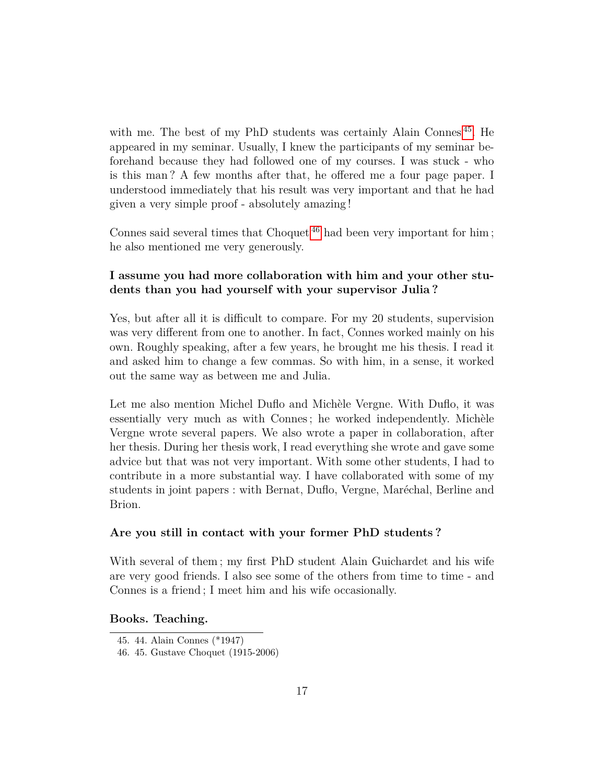with me. The best of my PhD students was certainly Alain Connes  $45$ . He appeared in my seminar. Usually, I knew the participants of my seminar beforehand because they had followed one of my courses. I was stuck - who is this man ? A few months after that, he offered me a four page paper. I understood immediately that his result was very important and that he had given a very simple proof - absolutely amazing !

Connes said several times that Choquet<sup>[46](#page-16-1)</sup> had been very important for him; he also mentioned me very generously.

# **I assume you had more collaboration with him and your other students than you had yourself with your supervisor Julia ?**

Yes, but after all it is difficult to compare. For my 20 students, supervision was very different from one to another. In fact, Connes worked mainly on his own. Roughly speaking, after a few years, he brought me his thesis. I read it and asked him to change a few commas. So with him, in a sense, it worked out the same way as between me and Julia.

Let me also mention Michel Duflo and Michèle Vergne. With Duflo, it was essentially very much as with Connes ; he worked independently. Michèle Vergne wrote several papers. We also wrote a paper in collaboration, after her thesis. During her thesis work, I read everything she wrote and gave some advice but that was not very important. With some other students, I had to contribute in a more substantial way. I have collaborated with some of my students in joint papers : with Bernat, Duflo, Vergne, Maréchal, Berline and Brion.

### **Are you still in contact with your former PhD students ?**

With several of them ; my first PhD student Alain Guichardet and his wife are very good friends. I also see some of the others from time to time - and Connes is a friend ; I meet him and his wife occasionally.

### **Books. Teaching.**

<span id="page-16-0"></span><sup>45. 44.</sup> Alain Connes (\*1947)

<span id="page-16-1"></span><sup>46. 45.</sup> Gustave Choquet (1915-2006)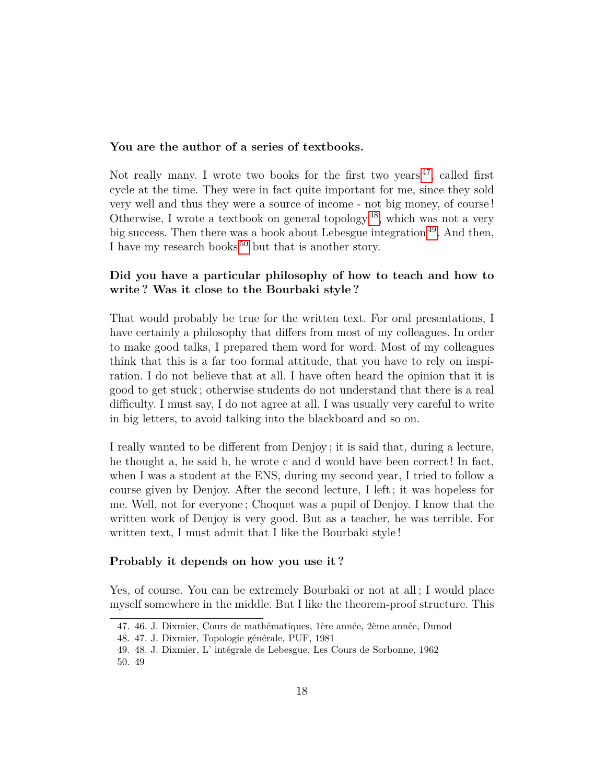### **You are the author of a series of textbooks.**

Not really many. I wrote two books for the first two years  $47$ , called first cycle at the time. They were in fact quite important for me, since they sold very well and thus they were a source of income - not big money, of course ! Otherwise, I wrote a textbook on general topology [48](#page-17-1), which was not a very big success. Then there was a book about Lebesgue integration [49](#page-17-2). And then, I have my research books<sup>[50](#page-17-3)</sup> but that is another story.

# **Did you have a particular philosophy of how to teach and how to write ? Was it close to the Bourbaki style ?**

That would probably be true for the written text. For oral presentations, I have certainly a philosophy that differs from most of my colleagues. In order to make good talks, I prepared them word for word. Most of my colleagues think that this is a far too formal attitude, that you have to rely on inspiration. I do not believe that at all. I have often heard the opinion that it is good to get stuck ; otherwise students do not understand that there is a real difficulty. I must say, I do not agree at all. I was usually very careful to write in big letters, to avoid talking into the blackboard and so on.

I really wanted to be different from Denjoy ; it is said that, during a lecture, he thought a, he said b, he wrote c and d would have been correct ! In fact, when I was a student at the ENS, during my second year, I tried to follow a course given by Denjoy. After the second lecture, I left ; it was hopeless for me. Well, not for everyone ; Choquet was a pupil of Denjoy. I know that the written work of Denjoy is very good. But as a teacher, he was terrible. For written text, I must admit that I like the Bourbaki style !

#### **Probably it depends on how you use it ?**

Yes, of course. You can be extremely Bourbaki or not at all ; I would place myself somewhere in the middle. But I like the theorem-proof structure. This

<span id="page-17-0"></span><sup>47. 46.</sup> J. Dixmier, Cours de mathématiques, 1ère année, 2ème année, Dunod

<span id="page-17-2"></span><span id="page-17-1"></span><sup>48. 47.</sup> J. Dixmier, Topologie générale, PUF, 1981

<span id="page-17-3"></span><sup>49. 48.</sup> J. Dixmier, L' intégrale de Lebesgue, Les Cours de Sorbonne, 1962 50. 49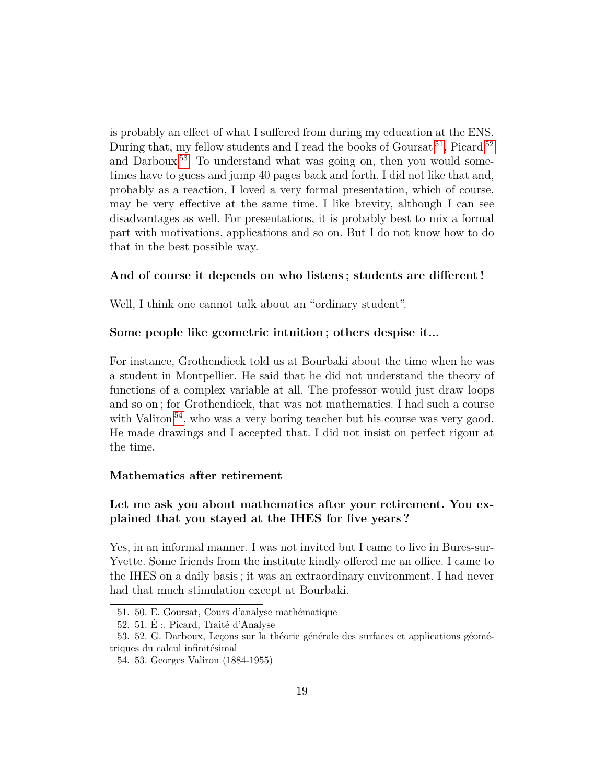is probably an effect of what I suffered from during my education at the ENS. During that, my fellow students and I read the books of Goursat<sup>[51](#page-18-0)</sup>, Picard<sup>[52](#page-18-1)</sup> and Darboux [53](#page-18-2). To understand what was going on, then you would sometimes have to guess and jump 40 pages back and forth. I did not like that and, probably as a reaction, I loved a very formal presentation, which of course, may be very effective at the same time. I like brevity, although I can see disadvantages as well. For presentations, it is probably best to mix a formal part with motivations, applications and so on. But I do not know how to do that in the best possible way.

### **And of course it depends on who listens ; students are different !**

Well, I think one cannot talk about an "ordinary student".

### **Some people like geometric intuition ; others despise it...**

For instance, Grothendieck told us at Bourbaki about the time when he was a student in Montpellier. He said that he did not understand the theory of functions of a complex variable at all. The professor would just draw loops and so on ; for Grothendieck, that was not mathematics. I had such a course with Valiron<sup>[54](#page-18-3)</sup>, who was a very boring teacher but his course was very good. He made drawings and I accepted that. I did not insist on perfect rigour at the time.

#### **Mathematics after retirement**

# **Let me ask you about mathematics after your retirement. You explained that you stayed at the IHES for five years ?**

Yes, in an informal manner. I was not invited but I came to live in Bures-sur-Yvette. Some friends from the institute kindly offered me an office. I came to the IHES on a daily basis ; it was an extraordinary environment. I had never had that much stimulation except at Bourbaki.

<span id="page-18-0"></span><sup>51. 50.</sup> E. Goursat, Cours d'analyse mathématique

<span id="page-18-2"></span><span id="page-18-1"></span><sup>52. 51.</sup> É :. Picard, Traité d'Analyse

<sup>53. 52.</sup> G. Darboux, Leçons sur la théorie générale des surfaces et applications géométriques du calcul infinitésimal

<span id="page-18-3"></span><sup>54. 53.</sup> Georges Valiron (1884-1955)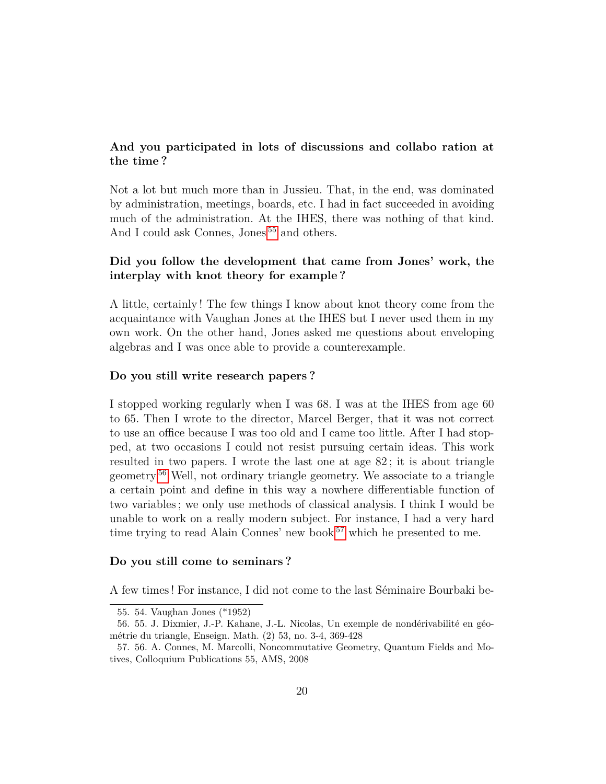# **And you participated in lots of discussions and collabo ration at the time ?**

Not a lot but much more than in Jussieu. That, in the end, was dominated by administration, meetings, boards, etc. I had in fact succeeded in avoiding much of the administration. At the IHES, there was nothing of that kind. And I could ask Connes, Jones <sup>[55](#page-19-0)</sup> and others.

# **Did you follow the development that came from Jones' work, the interplay with knot theory for example ?**

A little, certainly ! The few things I know about knot theory come from the acquaintance with Vaughan Jones at the IHES but I never used them in my own work. On the other hand, Jones asked me questions about enveloping algebras and I was once able to provide a counterexample.

#### **Do you still write research papers ?**

I stopped working regularly when I was 68. I was at the IHES from age 60 to 65. Then I wrote to the director, Marcel Berger, that it was not correct to use an office because I was too old and I came too little. After I had stopped, at two occasions I could not resist pursuing certain ideas. This work resulted in two papers. I wrote the last one at age 82 ; it is about triangle geometry [56](#page-19-1) Well, not ordinary triangle geometry. We associate to a triangle a certain point and define in this way a nowhere differentiable function of two variables ; we only use methods of classical analysis. I think I would be unable to work on a really modern subject. For instance, I had a very hard time trying to read Alain Connes' new book<sup>[57](#page-19-2)</sup> which he presented to me.

#### **Do you still come to seminars ?**

A few times ! For instance, I did not come to the last Séminaire Bourbaki be-

<span id="page-19-1"></span><span id="page-19-0"></span><sup>55. 54.</sup> Vaughan Jones (\*1952)

<sup>56. 55.</sup> J. Dixmier, J.-P. Kahane, J.-L. Nicolas, Un exemple de nondérivabilité en géométrie du triangle, Enseign. Math. (2) 53, no. 3-4, 369-428

<span id="page-19-2"></span><sup>57. 56.</sup> A. Connes, M. Marcolli, Noncommutative Geometry, Quantum Fields and Motives, Colloquium Publications 55, AMS, 2008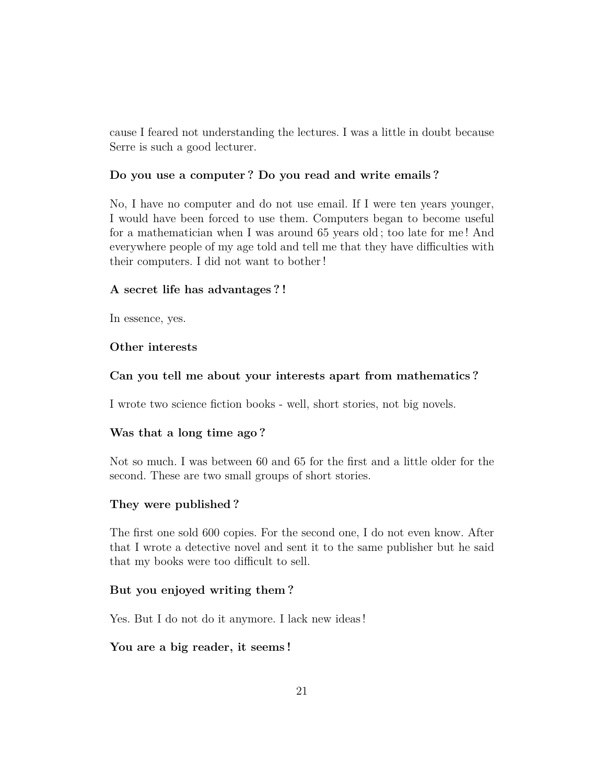cause I feared not understanding the lectures. I was a little in doubt because Serre is such a good lecturer.

#### **Do you use a computer ? Do you read and write emails ?**

No, I have no computer and do not use email. If I were ten years younger, I would have been forced to use them. Computers began to become useful for a mathematician when I was around 65 years old ; too late for me ! And everywhere people of my age told and tell me that they have difficulties with their computers. I did not want to bother !

#### **A secret life has advantages ? !**

In essence, yes.

#### **Other interests**

#### **Can you tell me about your interests apart from mathematics ?**

I wrote two science fiction books - well, short stories, not big novels.

#### **Was that a long time ago ?**

Not so much. I was between 60 and 65 for the first and a little older for the second. These are two small groups of short stories.

#### **They were published ?**

The first one sold 600 copies. For the second one, I do not even know. After that I wrote a detective novel and sent it to the same publisher but he said that my books were too difficult to sell.

#### **But you enjoyed writing them ?**

Yes. But I do not do it anymore. I lack new ideas !

### **You are a big reader, it seems !**